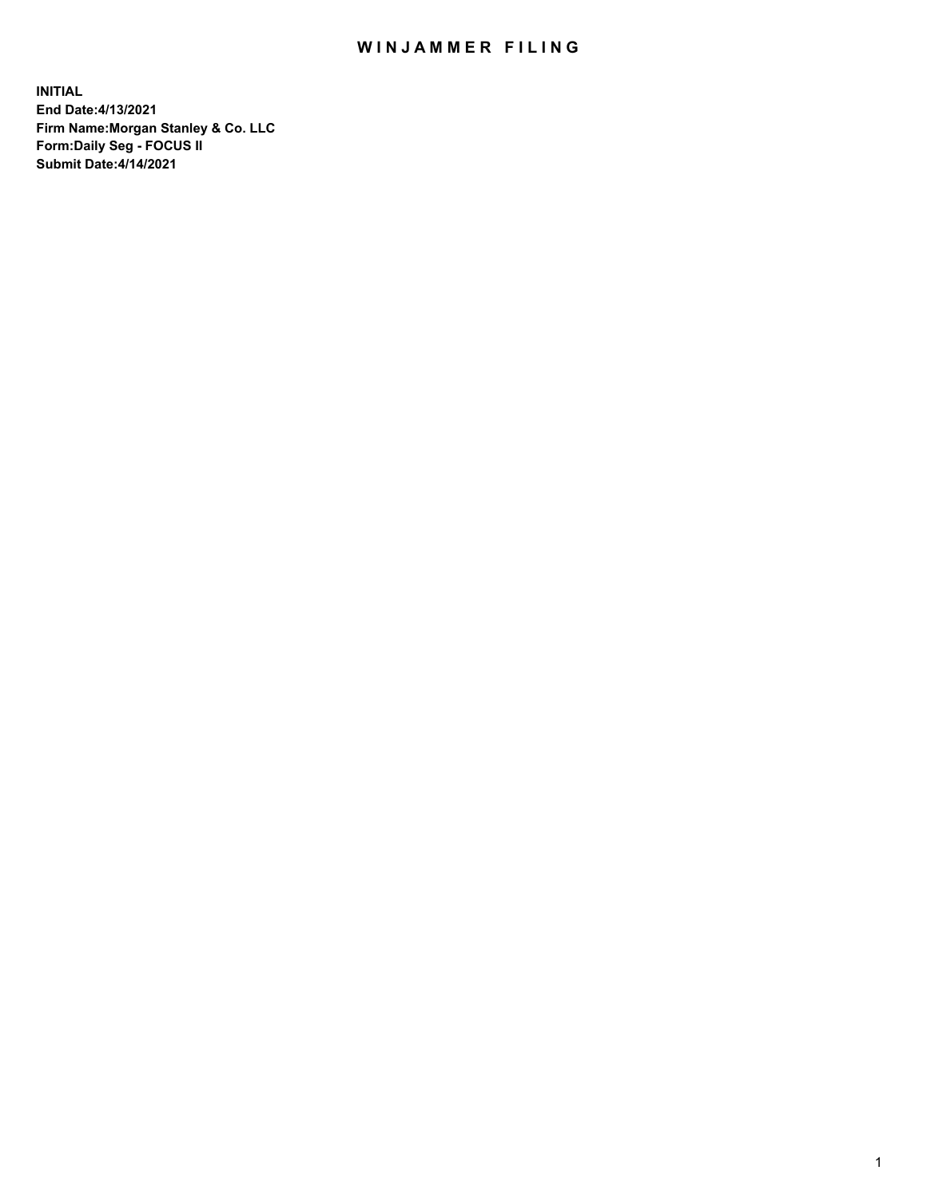## WIN JAMMER FILING

**INITIAL End Date:4/13/2021 Firm Name:Morgan Stanley & Co. LLC Form:Daily Seg - FOCUS II Submit Date:4/14/2021**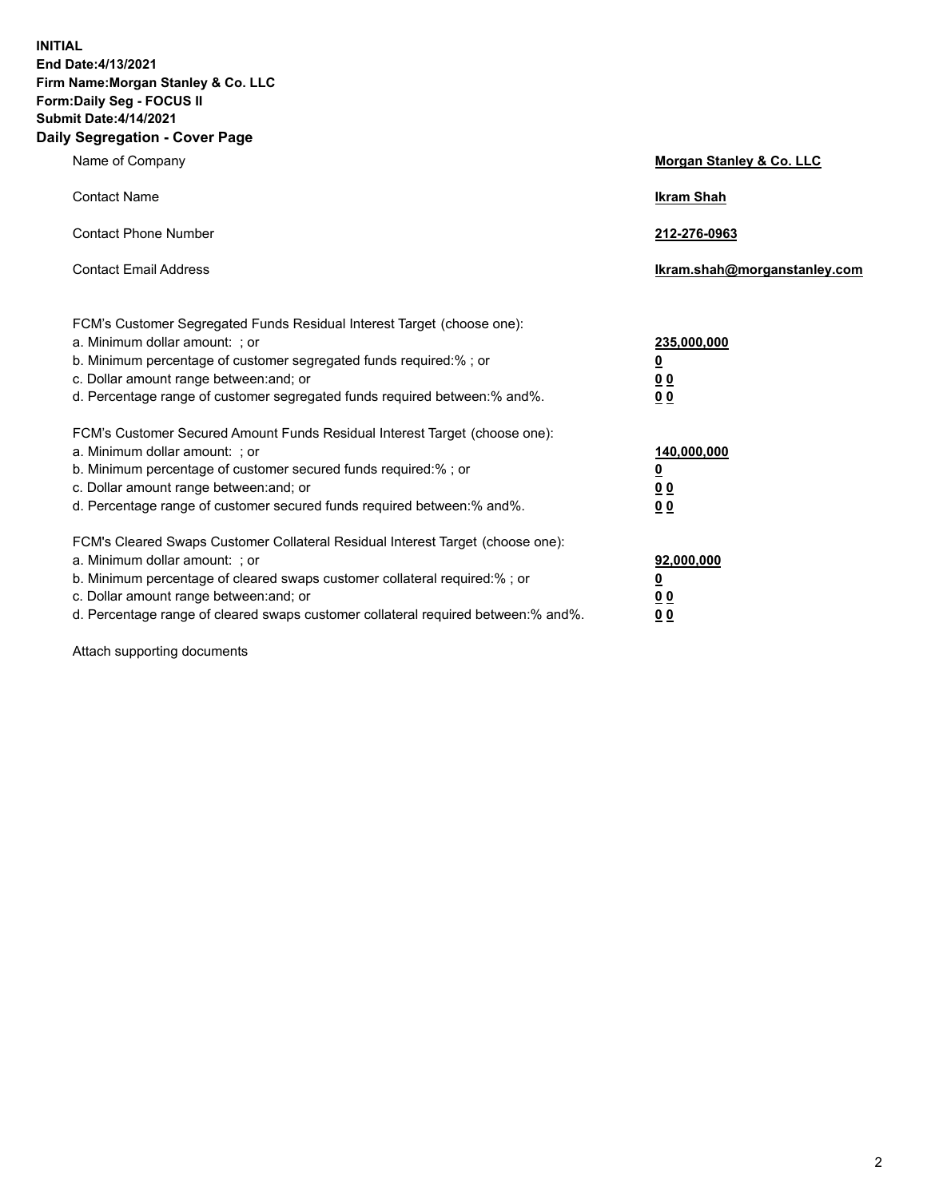**INITIAL End Date:4/13/2021 Firm Name:Morgan Stanley & Co. LLC Form:Daily Seg - FOCUS II Submit Date:4/14/2021 Daily Segregation - Cover Page**

| Name of Company                                                                                          | Morgan Stanley & Co. LLC     |
|----------------------------------------------------------------------------------------------------------|------------------------------|
| <b>Contact Name</b>                                                                                      | <b>Ikram Shah</b>            |
| <b>Contact Phone Number</b>                                                                              | 212-276-0963                 |
| <b>Contact Email Address</b>                                                                             | Ikram.shah@morganstanley.com |
|                                                                                                          |                              |
| FCM's Customer Segregated Funds Residual Interest Target (choose one):<br>a. Minimum dollar amount: ; or | 235,000,000                  |
| b. Minimum percentage of customer segregated funds required:% ; or                                       | <u>0</u>                     |
| c. Dollar amount range between: and; or                                                                  | <u>00</u>                    |
| d. Percentage range of customer segregated funds required between: % and %.                              | 0 <sup>0</sup>               |
| FCM's Customer Secured Amount Funds Residual Interest Target (choose one):                               |                              |
| a. Minimum dollar amount: ; or                                                                           | 140,000,000                  |
| b. Minimum percentage of customer secured funds required:%; or                                           | <u>0</u>                     |
| c. Dollar amount range between: and; or                                                                  | <u>0 0</u>                   |
| d. Percentage range of customer secured funds required between:% and%.                                   | 0 Q                          |
| FCM's Cleared Swaps Customer Collateral Residual Interest Target (choose one):                           |                              |
| a. Minimum dollar amount: ; or                                                                           | 92,000,000                   |
| b. Minimum percentage of cleared swaps customer collateral required:% ; or                               | <u>0</u>                     |
| c. Dollar amount range between: and; or                                                                  | 0 Q                          |
| d. Percentage range of cleared swaps customer collateral required between:% and%.                        | 0 <sub>0</sub>               |

Attach supporting documents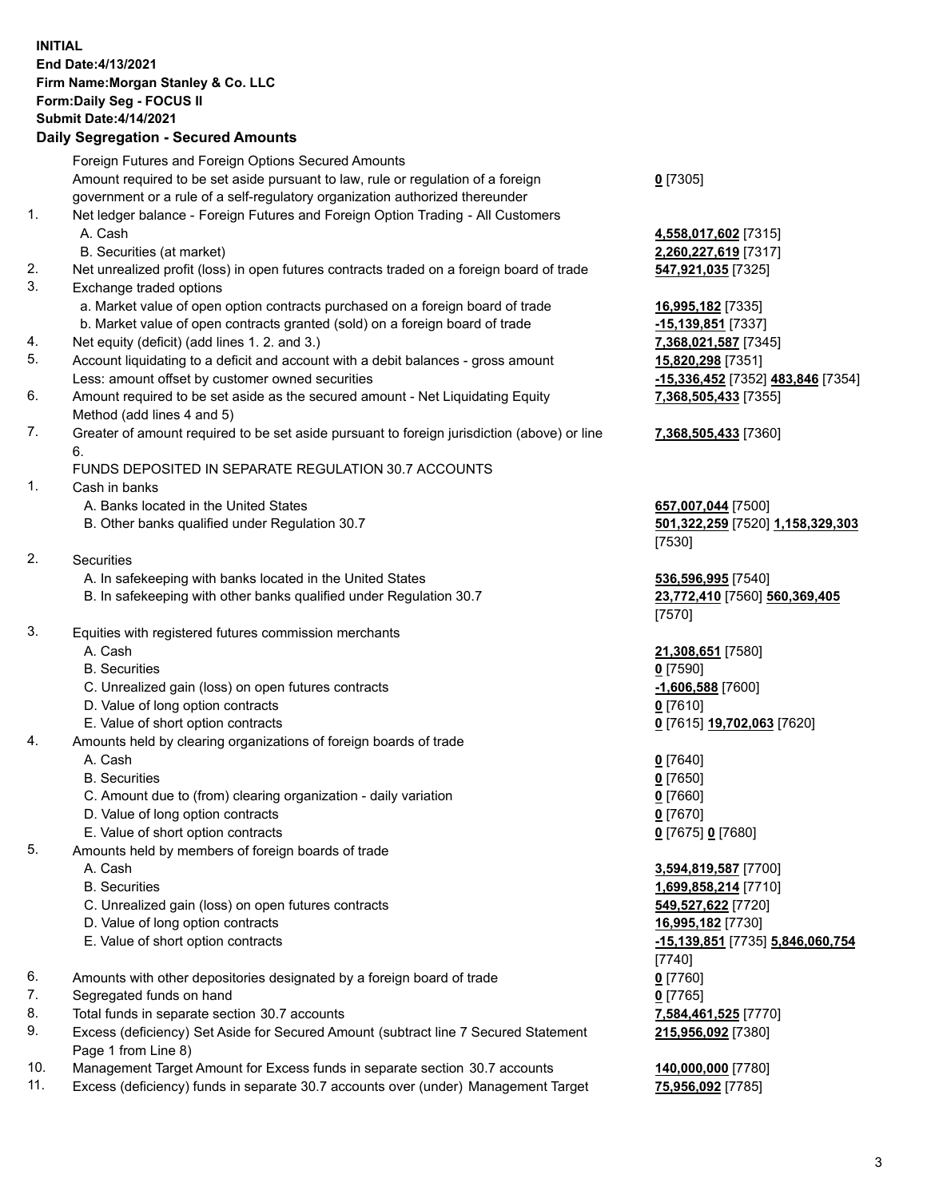## **INITIAL End Date:4/13/2021 Firm Name:Morgan Stanley & Co. LLC Form:Daily Seg - FOCUS II Submit Date:4/14/2021**

## **Daily Segregation - Secured Amounts**

|    | Foreign Futures and Foreign Options Secured Amounts                                                                                                             |                            |
|----|-----------------------------------------------------------------------------------------------------------------------------------------------------------------|----------------------------|
|    | Amount required to be set aside pursuant to law, rule or regulation of a foreign                                                                                | $0$ [7305]                 |
| 1. | government or a rule of a self-regulatory organization authorized thereunder<br>Net ledger balance - Foreign Futures and Foreign Option Trading - All Customers |                            |
|    | A. Cash                                                                                                                                                         | 4,558,017,602 [7315]       |
|    | B. Securities (at market)                                                                                                                                       | 2,260,227,619 [7317]       |
| 2. | Net unrealized profit (loss) in open futures contracts traded on a foreign board of trade                                                                       | 547,921,035 [7325]         |
| 3. | Exchange traded options                                                                                                                                         |                            |
|    | a. Market value of open option contracts purchased on a foreign board of trade                                                                                  | 16,995,182 [7335]          |
|    | b. Market value of open contracts granted (sold) on a foreign board of trade                                                                                    | -15,139,851 [7337]         |
| 4. | Net equity (deficit) (add lines 1. 2. and 3.)                                                                                                                   | 7,368,021,587 [7345]       |
| 5. | Account liquidating to a deficit and account with a debit balances - gross amount                                                                               | 15,820,298 [7351]          |
|    | Less: amount offset by customer owned securities                                                                                                                | -15,336,452 [7352] 483,846 |
| 6. | Amount required to be set aside as the secured amount - Net Liquidating Equity                                                                                  | 7,368,505,433 [7355]       |
|    | Method (add lines 4 and 5)                                                                                                                                      |                            |
| 7. | Greater of amount required to be set aside pursuant to foreign jurisdiction (above) or line<br>6.                                                               | 7,368,505,433 [7360]       |
|    | FUNDS DEPOSITED IN SEPARATE REGULATION 30.7 ACCOUNTS                                                                                                            |                            |
| 1. | Cash in banks                                                                                                                                                   |                            |
|    | A. Banks located in the United States                                                                                                                           | 657,007,044 [7500]         |
|    | B. Other banks qualified under Regulation 30.7                                                                                                                  | 501,322,259 [7520] 1,158,3 |
|    |                                                                                                                                                                 | [7530]                     |
| 2. | <b>Securities</b>                                                                                                                                               |                            |
|    | A. In safekeeping with banks located in the United States                                                                                                       | 536,596,995 [7540]         |
|    | B. In safekeeping with other banks qualified under Regulation 30.7                                                                                              | 23,772,410 [7560] 560,369  |
|    |                                                                                                                                                                 | [7570]                     |
| 3. | Equities with registered futures commission merchants                                                                                                           |                            |
|    | A. Cash                                                                                                                                                         | 21,308,651 [7580]          |
|    | <b>B.</b> Securities                                                                                                                                            | $0$ [7590]                 |
|    | C. Unrealized gain (loss) on open futures contracts                                                                                                             | $-1,606,588$ [7600]        |
|    | D. Value of long option contracts                                                                                                                               | $0$ [7610]                 |
|    | E. Value of short option contracts                                                                                                                              | 0 [7615] 19,702,063 [7620] |
| 4. | Amounts held by clearing organizations of foreign boards of trade                                                                                               |                            |
|    | A. Cash                                                                                                                                                         | $0$ [7640]                 |
|    | <b>B.</b> Securities                                                                                                                                            | $0$ [7650]                 |
|    | C. Amount due to (from) clearing organization - daily variation                                                                                                 | $0$ [7660]                 |
|    | D. Value of long option contracts                                                                                                                               | $0$ [7670]                 |
|    | E. Value of short option contracts                                                                                                                              | 0 [7675] 0 [7680]          |
| 5. | Amounts held by members of foreign boards of trade                                                                                                              |                            |
|    | A. Cash                                                                                                                                                         | 3,594,819,587 [7700]       |
|    | <b>B.</b> Securities                                                                                                                                            | 1,699,858,214 [7710]       |
|    | C. Unrealized gain (loss) on open futures contracts<br>D. Value of long option contracts                                                                        | 549,527,622 [7720]         |
|    | E. Value of short option contracts                                                                                                                              | 16,995,182 [7730]          |
|    |                                                                                                                                                                 | -15,139,851 [7735] 5,846,0 |
| 6. | Amounts with other depositories designated by a foreign board of trade                                                                                          | $[7740]$<br>$0$ [7760]     |
| 7. | Segregated funds on hand                                                                                                                                        | $0$ [7765]                 |
| 8. | Total funds in separate section 30.7 accounts                                                                                                                   | 7,584,461,525 [7770]       |
| 9. | Excess (deficiency) Set Aside for Secured Amount (subtract line 7 Secured Statement                                                                             | 215,956,092 [7380]         |
|    | Page 1 from Line 8)                                                                                                                                             |                            |

- 10. Management Target Amount for Excess funds in separate section 30.7 accounts **140,000,000** [7780]
- 11. Excess (deficiency) funds in separate 30.7 accounts over (under) Management Target **75,956,092** [7785]

Less: amount offset by customer owned securities **-15,336,452** [7352] **483,846** [7354] **7355]** 

## **7,368,505,433** [7360]

80 **1,158,329,303** 

B. **In safe 15 safe**<br> **BB0.369,405** 

**E. 846,060,754** 80]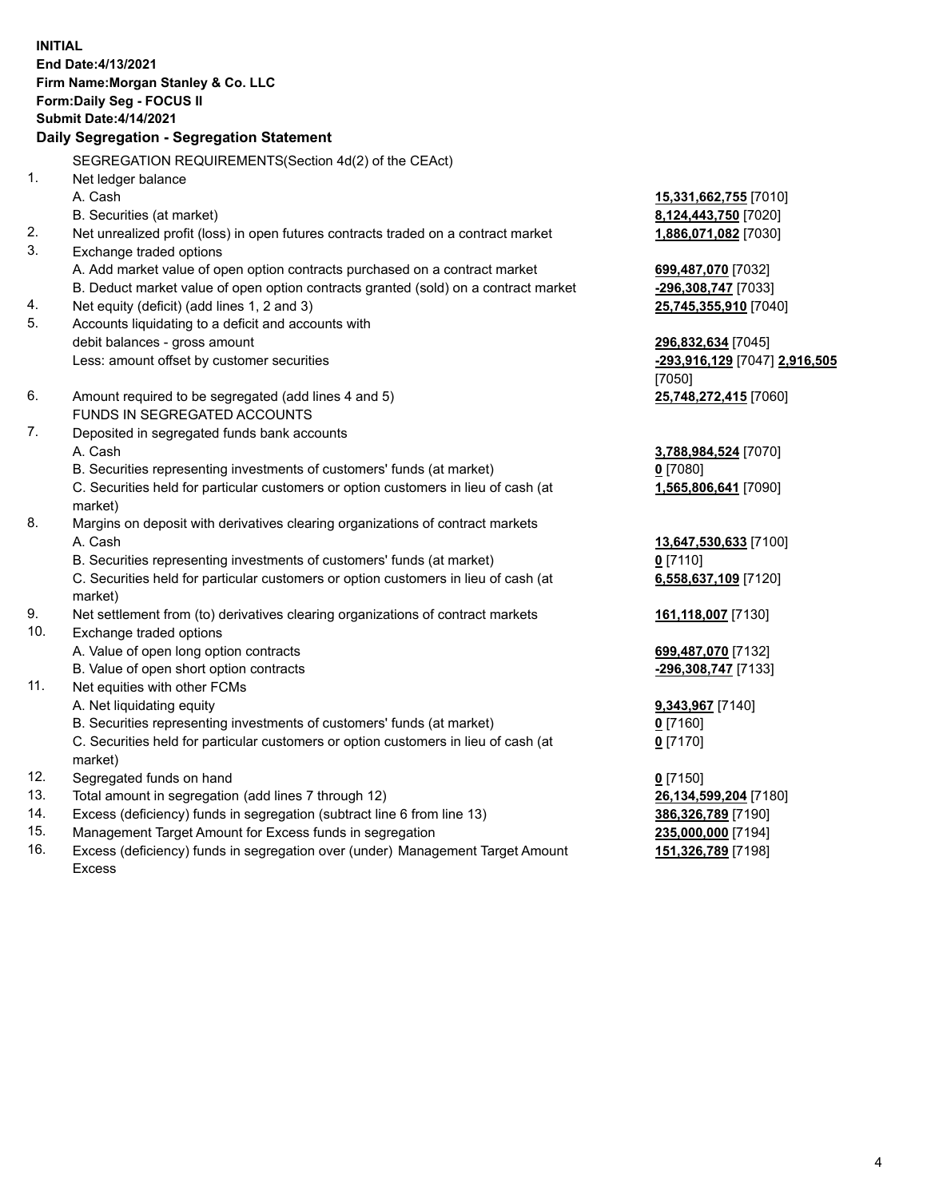**INITIAL End Date:4/13/2021 Firm Name:Morgan Stanley & Co. LLC Form:Daily Seg - FOCUS II Submit Date:4/14/2021 Daily Segregation - Segregation Statement** SEGREGATION REQUIREMENTS(Section 4d(2) of the CEAct) 1. Net ledger balance A. Cash **15,331,662,755** [7010] B. Securities (at market) **8,124,443,750** [7020] 2. Net unrealized profit (loss) in open futures contracts traded on a contract market **1,886,071,082** [7030] 3. Exchange traded options A. Add market value of open option contracts purchased on a contract market **699,487,070** [7032] B. Deduct market value of open option contracts granted (sold) on a contract market **-296,308,747** [7033] 4. Net equity (deficit) (add lines 1, 2 and 3) **25,745,355,910** [7040] 5. Accounts liquidating to a deficit and accounts with debit balances - gross amount **296,832,634** [7045] Less: amount offset by customer securities **-293,916,129** [7047] **2,916,505** [7050] 6. Amount required to be segregated (add lines 4 and 5) **25,748,272,415** [7060] FUNDS IN SEGREGATED ACCOUNTS 7. Deposited in segregated funds bank accounts A. Cash **3,788,984,524** [7070] B. Securities representing investments of customers' funds (at market) **0** [7080] C. Securities held for particular customers or option customers in lieu of cash (at market) **1,565,806,641** [7090] 8. Margins on deposit with derivatives clearing organizations of contract markets A. Cash **13,647,530,633** [7100] B. Securities representing investments of customers' funds (at market) **0** [7110] C. Securities held for particular customers or option customers in lieu of cash (at market) **6,558,637,109** [7120] 9. Net settlement from (to) derivatives clearing organizations of contract markets **161,118,007** [7130] 10. Exchange traded options A. Value of open long option contracts **699,487,070** [7132] B. Value of open short option contracts **-296,308,747** [7133] 11. Net equities with other FCMs A. Net liquidating equity **9,343,967** [7140] B. Securities representing investments of customers' funds (at market) **0** [7160] C. Securities held for particular customers or option customers in lieu of cash (at market) **0** [7170] 12. Segregated funds on hand **0** [7150] 13. Total amount in segregation (add lines 7 through 12) **26,134,599,204** [7180] 14. Excess (deficiency) funds in segregation (subtract line 6 from line 13) **386,326,789** [7190]

- 15. Management Target Amount for Excess funds in segregation **235,000,000** [7194]
- 16. Excess (deficiency) funds in segregation over (under) Management Target Amount Excess

**151,326,789** [7198]